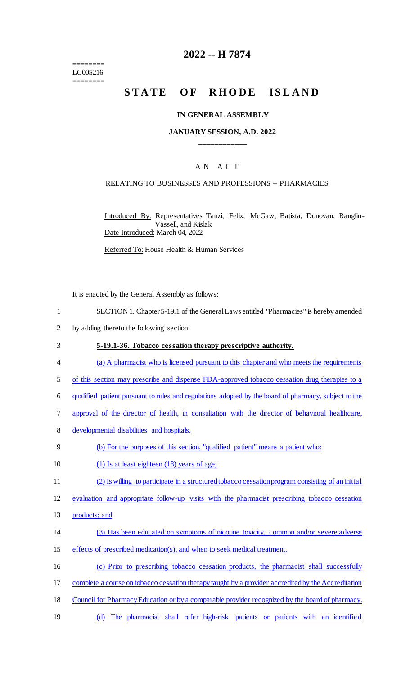======== LC005216 ========

## **2022 -- H 7874**

# STATE OF RHODE ISLAND

#### **IN GENERAL ASSEMBLY**

#### **JANUARY SESSION, A.D. 2022 \_\_\_\_\_\_\_\_\_\_\_\_**

#### A N A C T

#### RELATING TO BUSINESSES AND PROFESSIONS -- PHARMACIES

Introduced By: Representatives Tanzi, Felix, McGaw, Batista, Donovan, Ranglin-Vassell, and Kislak Date Introduced: March 04, 2022

Referred To: House Health & Human Services

It is enacted by the General Assembly as follows:

- 1 SECTION 1. Chapter 5-19.1 of the General Laws entitled "Pharmacies" is hereby amended
- 2 by adding thereto the following section:
- 3 **5-19.1-36. Tobacco cessation therapy prescriptive authority.**  4 (a) A pharmacist who is licensed pursuant to this chapter and who meets the requirements 5 of this section may prescribe and dispense FDA-approved tobacco cessation drug therapies to a 6 qualified patient pursuant to rules and regulations adopted by the board of pharmacy, subject to the 7 approval of the director of health, in consultation with the director of behavioral healthcare, 8 developmental disabilities and hospitals. 9 (b) For the purposes of this section, "qualified patient" means a patient who: 10 (1) Is at least eighteen (18) years of age; 11 (2) Is willing to participate in a structured tobacco cessation program consisting of an initial

12 evaluation and appropriate follow-up visits with the pharmacist prescribing tobacco cessation

- 13 products; and
- 14 (3) Has been educated on symptoms of nicotine toxicity, common and/or severe adverse
- 15 effects of prescribed medication(s), and when to seek medical treatment.
- 16 (c) Prior to prescribing tobacco cessation products, the pharmacist shall successfully
- 17 complete a course on tobacco cessation therapy taught by a provider accredited by the Accreditation
- 18 Council for Pharmacy Education or by a comparable provider recognized by the board of pharmacy.
- 19 (d) The pharmacist shall refer high-risk patients or patients with an identified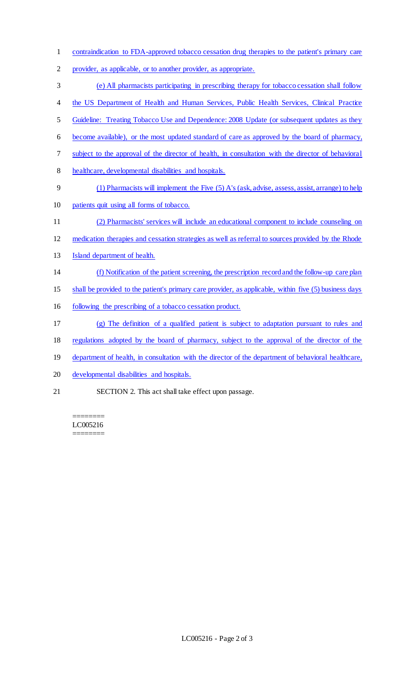- contraindication to FDA-approved tobacco cessation drug therapies to the patient's primary care
- provider, as applicable, or to another provider, as appropriate.
- (e) All pharmacists participating in prescribing therapy for tobacco cessation shall follow
- 4 the US Department of Health and Human Services, Public Health Services, Clinical Practice
- Guideline: Treating Tobacco Use and Dependence: 2008 Update (or subsequent updates as they
- become available), or the most updated standard of care as approved by the board of pharmacy,
- subject to the approval of the director of health, in consultation with the director of behavioral
- healthcare, developmental disabilities and hospitals.
- (1) Pharmacists will implement the Five (5) A's (ask, advise, assess, assist, arrange) to help
- patients quit using all forms of tobacco.
- (2) Pharmacists' services will include an educational component to include counseling on
- medication therapies and cessation strategies as well as referral to sources provided by the Rhode
- Island department of health.
- (f) Notification of the patient screening, the prescription record and the follow-up care plan
- shall be provided to the patient's primary care provider, as applicable, within five (5) business days
- 16 following the prescribing of a tobacco cessation product.
- (g) The definition of a qualified patient is subject to adaptation pursuant to rules and
- regulations adopted by the board of pharmacy, subject to the approval of the director of the
- 19 department of health, in consultation with the director of the department of behavioral healthcare,
- developmental disabilities and hospitals.
- SECTION 2. This act shall take effect upon passage.

======== LC005216 ========